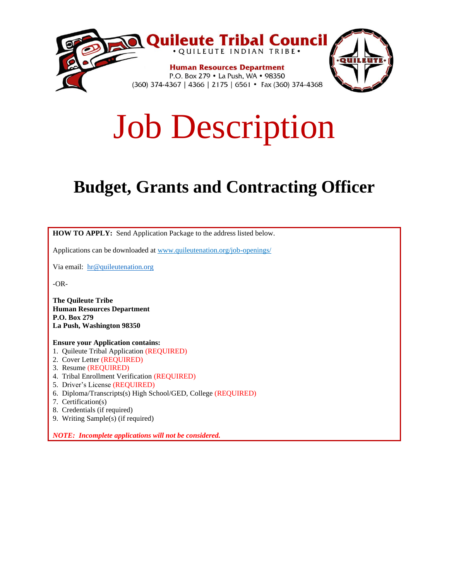

# Job Description

# **Budget, Grants and Contracting Officer**

**HOW TO APPLY:** Send Application Package to the address listed below.

Applications can be downloaded at www.quileutenation.org/job-openings/

Via email: [hr@quileutenation.org](mailto:hr@quileutenation.org)

-OR-

**The Quileute Tribe Human Resources Department P.O. Box 279 La Push, Washington 98350**

#### **Ensure your Application contains:**

- 1. Quileute Tribal Application (REQUIRED)
- 2. Cover Letter (REQUIRED)
- 3. Resume (REQUIRED)
- 4. Tribal Enrollment Verification (REQUIRED)
- 5. Driver's License (REQUIRED)
- 6. Diploma/Transcripts(s) High School/GED, College (REQUIRED)
- 7. Certification(s)
- 8. Credentials (if required)
- 9. Writing Sample(s) (if required)

*NOTE: Incomplete applications will not be considered.*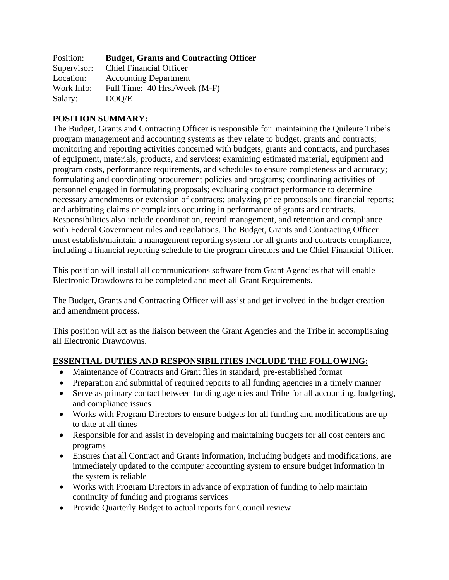| Position:   | <b>Budget, Grants and Contracting Officer</b> |
|-------------|-----------------------------------------------|
| Supervisor: | <b>Chief Financial Officer</b>                |
| Location:   | <b>Accounting Department</b>                  |
| Work Info:  | Full Time: 40 Hrs./Week (M-F)                 |
| Salary:     | DOO/E                                         |

#### **POSITION SUMMARY:**

The Budget, Grants and Contracting Officer is responsible for: maintaining the Quileute Tribe's program management and accounting systems as they relate to budget, grants and contracts; monitoring and reporting activities concerned with budgets, grants and contracts, and purchases of equipment, materials, products, and services; examining estimated material, equipment and program costs, performance requirements, and schedules to ensure completeness and accuracy; formulating and coordinating procurement policies and programs; coordinating activities of personnel engaged in formulating proposals; evaluating contract performance to determine necessary amendments or extension of contracts; analyzing price proposals and financial reports; and arbitrating claims or complaints occurring in performance of grants and contracts. Responsibilities also include coordination, record management, and retention and compliance with Federal Government rules and regulations. The Budget, Grants and Contracting Officer must establish/maintain a management reporting system for all grants and contracts compliance, including a financial reporting schedule to the program directors and the Chief Financial Officer.

This position will install all communications software from Grant Agencies that will enable Electronic Drawdowns to be completed and meet all Grant Requirements.

The Budget, Grants and Contracting Officer will assist and get involved in the budget creation and amendment process.

This position will act as the liaison between the Grant Agencies and the Tribe in accomplishing all Electronic Drawdowns.

#### **ESSENTIAL DUTIES AND RESPONSIBILITIES INCLUDE THE FOLLOWING:**

- Maintenance of Contracts and Grant files in standard, pre-established format
- Preparation and submittal of required reports to all funding agencies in a timely manner
- Serve as primary contact between funding agencies and Tribe for all accounting, budgeting, and compliance issues
- Works with Program Directors to ensure budgets for all funding and modifications are up to date at all times
- Responsible for and assist in developing and maintaining budgets for all cost centers and programs
- Ensures that all Contract and Grants information, including budgets and modifications, are immediately updated to the computer accounting system to ensure budget information in the system is reliable
- Works with Program Directors in advance of expiration of funding to help maintain continuity of funding and programs services
- Provide Quarterly Budget to actual reports for Council review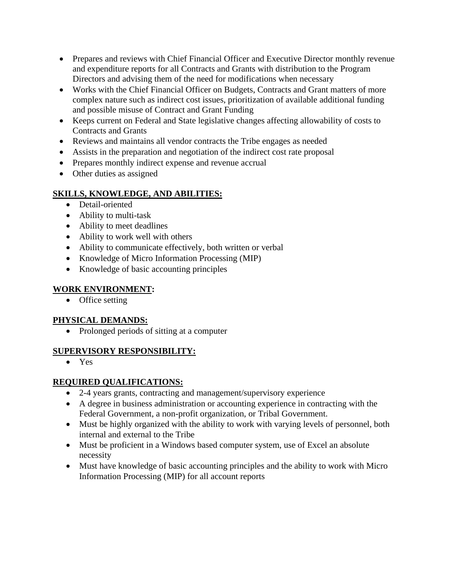- Prepares and reviews with Chief Financial Officer and Executive Director monthly revenue and expenditure reports for all Contracts and Grants with distribution to the Program Directors and advising them of the need for modifications when necessary
- Works with the Chief Financial Officer on Budgets, Contracts and Grant matters of more complex nature such as indirect cost issues, prioritization of available additional funding and possible misuse of Contract and Grant Funding
- Keeps current on Federal and State legislative changes affecting allowability of costs to Contracts and Grants
- Reviews and maintains all vendor contracts the Tribe engages as needed
- Assists in the preparation and negotiation of the indirect cost rate proposal
- Prepares monthly indirect expense and revenue accrual
- Other duties as assigned

## **SKILLS, KNOWLEDGE, AND ABILITIES:**

- Detail-oriented
- Ability to multi-task
- Ability to meet deadlines
- Ability to work well with others
- Ability to communicate effectively, both written or verbal
- Knowledge of Micro Information Processing (MIP)
- Knowledge of basic accounting principles

#### **WORK ENVIRONMENT:**

• Office setting

## **PHYSICAL DEMANDS:**

• Prolonged periods of sitting at a computer

#### **SUPERVISORY RESPONSIBILITY:**

• Yes

#### **REQUIRED QUALIFICATIONS:**

- 2-4 years grants, contracting and management/supervisory experience
- A degree in business administration or accounting experience in contracting with the Federal Government, a non-profit organization, or Tribal Government.
- Must be highly organized with the ability to work with varying levels of personnel, both internal and external to the Tribe
- Must be proficient in a Windows based computer system, use of Excel an absolute necessity
- Must have knowledge of basic accounting principles and the ability to work with Micro Information Processing (MIP) for all account reports